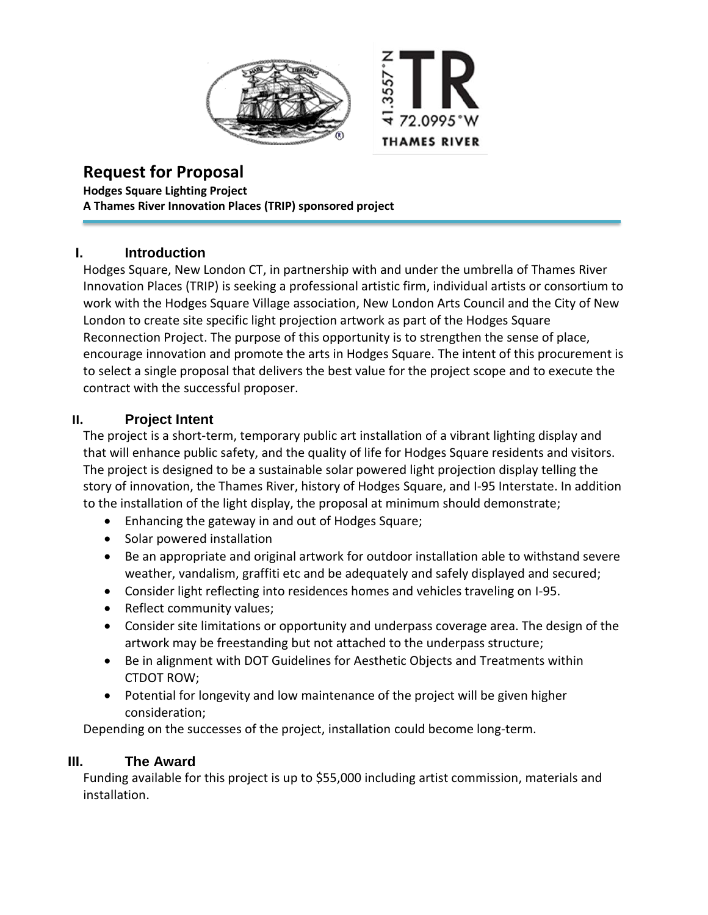



# **Request for Proposal**

**Hodges Square Lighting Project A Thames River Innovation Places (TRIP) sponsored project**

# **I. Introduction**

Hodges Square, New London CT, in partnership with and under the umbrella of Thames River Innovation Places (TRIP) is seeking a professional artistic firm, individual artists or consortium to work with the Hodges Square Village association, New London Arts Council and the City of New London to create site specific light projection artwork as part of the Hodges Square Reconnection Project. The purpose of this opportunity is to strengthen the sense of place, encourage innovation and promote the arts in Hodges Square. The intent of this procurement is to select a single proposal that delivers the best value for the project scope and to execute the contract with the successful proposer.

# **II. Project Intent**

The project is a short-term, temporary public art installation of a vibrant lighting display and that will enhance public safety, and the quality of life for Hodges Square residents and visitors. The project is designed to be a sustainable solar powered light projection display telling the story of innovation, the Thames River, history of Hodges Square, and I-95 Interstate. In addition to the installation of the light display, the proposal at minimum should demonstrate;

- Enhancing the gateway in and out of Hodges Square;
- Solar powered installation
- Be an appropriate and original artwork for outdoor installation able to withstand severe weather, vandalism, graffiti etc and be adequately and safely displayed and secured;
- Consider light reflecting into residences homes and vehicles traveling on I-95.
- Reflect community values;
- Consider site limitations or opportunity and underpass coverage area. The design of the artwork may be freestanding but not attached to the underpass structure;
- Be in alignment with DOT Guidelines for Aesthetic Objects and Treatments within CTDOT ROW;
- Potential for longevity and low maintenance of the project will be given higher consideration;

Depending on the successes of the project, installation could become long-term.

## **III. The Award**

Funding available for this project is up to \$55,000 including artist commission, materials and installation.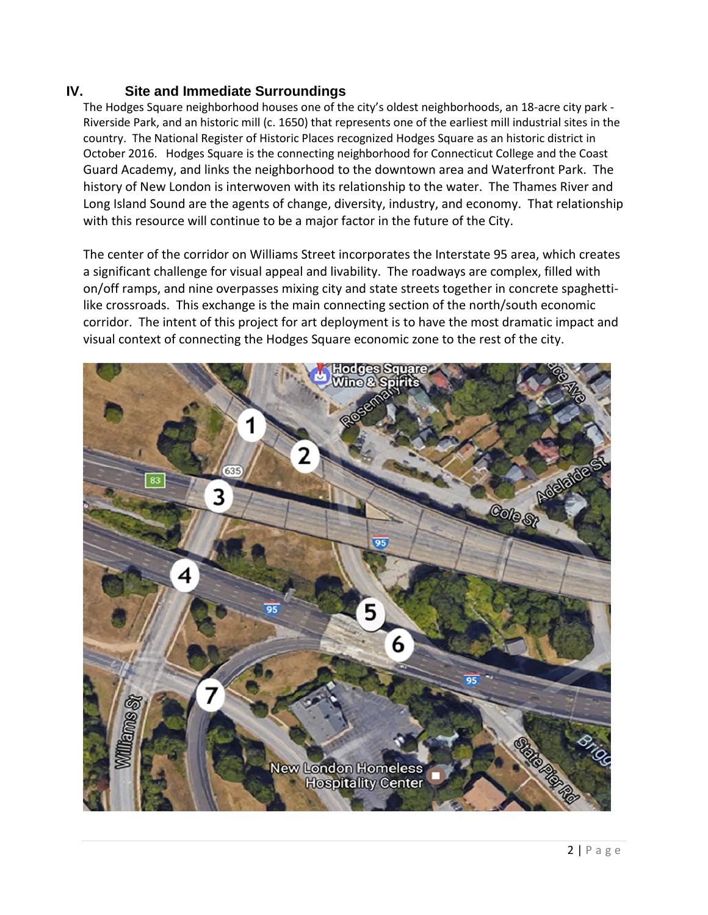## **IV. Site and Immediate Surroundings**

The Hodges Square neighborhood houses one of the city's oldest neighborhoods, an 18-acre city park - Riverside Park, and an historic mill (c. 1650) that represents one of the earliest mill industrial sites in the country. The National Register of Historic Places recognized Hodges Square as an historic district in October 2016. Hodges Square is the connecting neighborhood for Connecticut College and the Coast Guard Academy, and links the neighborhood to the downtown area and Waterfront Park. The history of New London is interwoven with its relationship to the water. The Thames River and Long Island Sound are the agents of change, diversity, industry, and economy. That relationship with this resource will continue to be a major factor in the future of the City.

The center of the corridor on Williams Street incorporates the Interstate 95 area, which creates a significant challenge for visual appeal and livability. The roadways are complex, filled with on/off ramps, and nine overpasses mixing city and state streets together in concrete spaghettilike crossroads. This exchange is the main connecting section of the north/south economic corridor. The intent of this project for art deployment is to have the most dramatic impact and visual context of connecting the Hodges Square economic zone to the rest of the city.

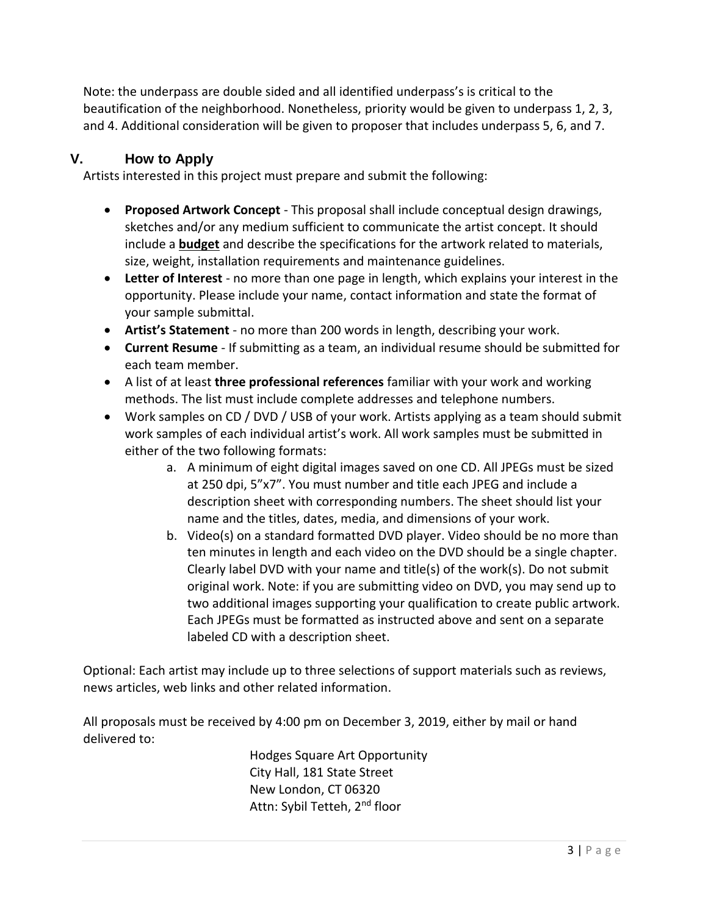Note: the underpass are double sided and all identified underpass's is critical to the beautification of the neighborhood. Nonetheless, priority would be given to underpass 1, 2, 3, and 4. Additional consideration will be given to proposer that includes underpass 5, 6, and 7.

## **V. How to Apply**

Artists interested in this project must prepare and submit the following:

- **Proposed Artwork Concept** This proposal shall include conceptual design drawings, sketches and/or any medium sufficient to communicate the artist concept. It should include a **budget** and describe the specifications for the artwork related to materials, size, weight, installation requirements and maintenance guidelines.
- **Letter of Interest** no more than one page in length, which explains your interest in the opportunity. Please include your name, contact information and state the format of your sample submittal.
- **Artist's Statement** no more than 200 words in length, describing your work.
- **Current Resume** If submitting as a team, an individual resume should be submitted for each team member.
- A list of at least **three professional references** familiar with your work and working methods. The list must include complete addresses and telephone numbers.
- Work samples on CD / DVD / USB of your work. Artists applying as a team should submit work samples of each individual artist's work. All work samples must be submitted in either of the two following formats:
	- a. A minimum of eight digital images saved on one CD. All JPEGs must be sized at 250 dpi, 5"x7". You must number and title each JPEG and include a description sheet with corresponding numbers. The sheet should list your name and the titles, dates, media, and dimensions of your work.
	- b. Video(s) on a standard formatted DVD player. Video should be no more than ten minutes in length and each video on the DVD should be a single chapter. Clearly label DVD with your name and title(s) of the work(s). Do not submit original work. Note: if you are submitting video on DVD, you may send up to two additional images supporting your qualification to create public artwork. Each JPEGs must be formatted as instructed above and sent on a separate labeled CD with a description sheet.

Optional: Each artist may include up to three selections of support materials such as reviews, news articles, web links and other related information.

All proposals must be received by 4:00 pm on December 3, 2019, either by mail or hand delivered to:

> Hodges Square Art Opportunity City Hall, 181 State Street New London, CT 06320 Attn: Sybil Tetteh, 2<sup>nd</sup> floor